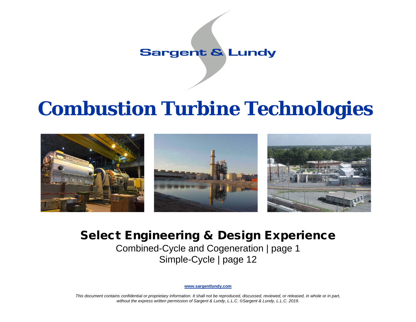## **Sargent & Lundy**

# **Combustion Turbine Technologies**



## Select Engineering & Design Experience

Combined-Cycle and Cogeneration | page 1 Simple-Cycle | page 12

**[www.sargentlundy.com](http://www.sargentlundy.com/)**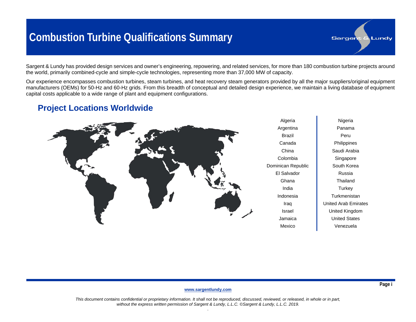## **Combustion Turbine Qualifications Summary**

Sargent & Lundy has provided design services and owner's engineering, repowering, and related services, for more than 180 combustion turbine projects around the world, primarily combined-cycle and simple-cycle technologies, representing more than 37,000 MW of capacity.

Our experience encompasses combustion turbines, steam turbines, and heat recovery steam generators provided by all the major suppliers/original equipment manufacturers (OEMs) for 50-Hz and 60-Hz grids. From this breadth of conceptual and detailed design experience, we maintain a living database of equipment capital costs applicable to a wide range of plant and equipment configurations.

### **Project Locations Worldwide**



Nigeria Panama Peru **Philippines** Saudi Arabia Singapore South Korea Russia **Thailand Turkey Turkmenistan** United Arab Emirates United Kingdom United States Venezuela

**Sargent & Lundy** 

#### **[www.sargentlundy.com](http://www.sargentlundy.com/)**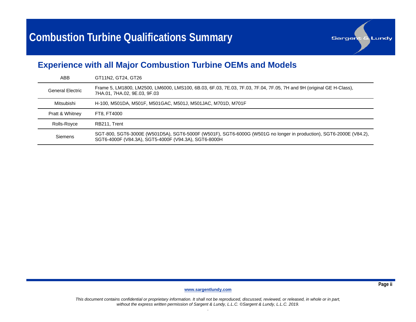

### **Experience with all Major Combustion Turbine OEMs and Models**

| ABB              | GT11N2, GT24, GT26                                                                                                                                                         |
|------------------|----------------------------------------------------------------------------------------------------------------------------------------------------------------------------|
| General Electric | Frame 5, LM1800, LM2500, LM6000, LMS100, 6B.03, 6F.03, 7E.03, 7F.03, 7F.04, 7F.05, 7H and 9H (original GE H-Class),<br>7HA.01, 7HA.02, 9E.03, 9F.03                        |
| Mitsubishi       | H-100, M501DA, M501F, M501GAC, M501J, M501JAC, M701D, M701F                                                                                                                |
| Pratt & Whitney  | FT8. FT4000                                                                                                                                                                |
| Rolls-Royce      | RB211, Trent                                                                                                                                                               |
| Siemens          | SGT-800, SGT6-3000E (W501D5A), SGT6-5000F (W501F), SGT6-6000G (W501G no longer in production), SGT6-2000E (V84.2),<br>SGT6-4000F (V84.3A), SGT5-4000F (V94.3A), SGT6-8000H |

**[www.sargentlundy.com](http://www.sargentlundy.com/)**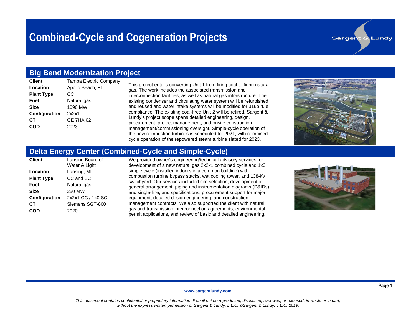### **Big Bend Modernization Project**

| <b>Client</b>        | Tampa Electric Compa |
|----------------------|----------------------|
| Location             | Apollo Beach, FL     |
| <b>Plant Type</b>    | СC                   |
| Fuel                 | Natural gas          |
| <b>Size</b>          | 1090 MW              |
| <b>Configuration</b> | 2x2x1                |
| CТ                   | <b>GE 7HA.02</b>     |
| COD                  | 2023                 |
|                      |                      |

This project entails converting Unit 1 from firing coal to firing natural gas. The work includes the associated transmission and interconnection facilities, as well as natural gas infrastructure. The existing condenser and circulating water system will be refurbished and reused and water intake systems will be modified for 316b rule compliance. The existing coal-fired Unit 2 will be retired. Sargent & Lundy's project scope spans detailed engineering, design, procurement, project management, and onsite construction management/commissioning oversight. Simple-cycle operation of the new combustion turbines is scheduled for 2021, with combinedcycle operation of the repowered steam turbine slated for 2023.



**Sargent & Lundy** 

### **Delta Energy Center (Combined-Cycle and Simple-Cycle)**

| <b>Client</b>        | Lansing Board of<br>Water & Light |
|----------------------|-----------------------------------|
| Location             | Lansing, MI                       |
| <b>Plant Type</b>    | CC and SC                         |
| Fuel                 | Natural gas                       |
| Size                 | 250 MW                            |
| <b>Configuration</b> | 2x2x1 CC / 1x0 SC                 |
| CТ                   | Siemens SGT-800                   |
| COD                  | 2020                              |

We provided owner's engineering/technical advisory services for development of a new natural gas 2x2x1 combined cycle and 1x0 simple cycle (installed indoors in a common building) with combustion turbine bypass stacks, wet cooling tower, and 138-kV switchyard. Our services included site selection; development of general arrangement, piping and instrumentation diagrams (P&IDs), and single-line, and specifications; procurement support for major equipment; detailed design engineering; and construction management contracts. We also supported the client with natural gas and transmission interconnection agreements, environmental permit applications, and review of basic and detailed engineering.



#### **[www.sargentlundy.com](http://www.sargentlundy.com/)**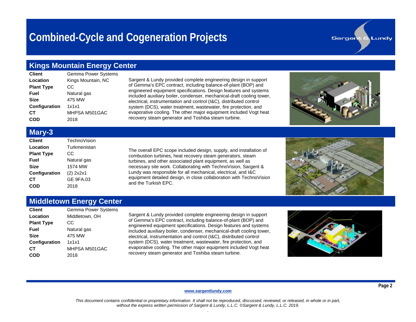### **Kings Mountain Energy Center**

| <b>Client</b>     | Gemma Power Systems |
|-------------------|---------------------|
| Location          | Kings Mountain, NC  |
| <b>Plant Type</b> | СC                  |
| Fuel              | Natural gas         |
| <b>Size</b>       | 475 MW              |
| Configuration     | 1x1x1               |
| CТ                | MHPSA M501GAC       |
| COD               | 2018                |

Sargent & Lundy provided complete engineering design in support of Gemma's EPC contract, including balance-of-plant (BOP) and engineered equipment specifications. Design features and systems included auxiliary boiler, condenser, mechanical-draft cooling tower, electrical, instrumentation and control (I&C), distributed control system (DCS), water treatment, wastewater, fire protection, and evaporative cooling. The other major equipment included Vogt heat recovery steam generator and Toshiba steam turbine.



**Sargent & Lundy** 

#### **Mary-3**

| <b>Client</b>     | TechnoVision     |
|-------------------|------------------|
| Location          | Turkmenistan     |
| <b>Plant Type</b> | CС               |
| Fuel              | Natural gas      |
| <b>Size</b>       | 1574 MW          |
| Configuration     | $(2)$ 2x2x1      |
| CТ                | <b>GE 9FA.03</b> |
| COD               | 2018             |

The overall EPC scope included design, supply, and installation of combustion turbines, heat recovery steam generators, steam turbines, and other associated plant equipment, as well as necessary site work. Collaborating with TechnoVision, Sargent & Lundy was responsible for all mechanical, electrical, and I&C equipment detailed design, in close collaboration with TechnoVision and the Turkish EPC.



### **Middletown Energy Center**

| <b>Client</b>        | <b>Gemma Power Systems</b> |
|----------------------|----------------------------|
| Location             | Middletown, OH             |
| <b>Plant Type</b>    | CС                         |
| Fuel                 | Natural gas                |
| <b>Size</b>          | 475 MW                     |
| <b>Configuration</b> | 1x1x1                      |
| CТ                   | MHPSA M501GAC              |
| COD                  | 2018                       |

Sargent & Lundy provided complete engineering design in support of Gemma's EPC contract, including balance-of-plant (BOP) and engineered equipment specifications. Design features and systems included auxiliary boiler, condenser, mechanical-draft cooling tower, electrical, instrumentation and control (I&C), distributed control system (DCS), water treatment, wastewater, fire protection, and evaporative cooling. The other major equipment included Vogt heat recovery steam generator and Toshiba steam turbine.



#### **[www.sargentlundy.com](http://www.sargentlundy.com/)**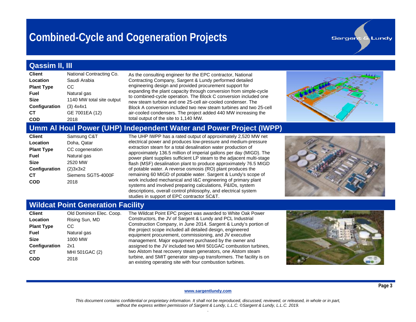### **Qassim II, III**

| <b>Client</b>     | National Contracting Co.  |
|-------------------|---------------------------|
| Location          | Saudi Arabia              |
| <b>Plant Type</b> | CС                        |
| Fuel              | Natural gas               |
| <b>Size</b>       | 1140 MW total site output |
| Configuration     | $(3)$ 4x4x1               |
| CТ                | GE 7001EA (12)            |
|                   | 2018                      |

As the consulting engineer for the EPC contractor, National Contracting Company, Sargent & Lundy performed detailed engineering design and provided procurement support for expanding the plant capacity through conversion from simple-cycle to combined-cycle operation. The Block C conversion included one new steam turbine and one 25-cell air-cooled condenser. The Block A conversion included two new steam turbines and two 25-cell air-cooled condensers. The project added 440 MW increasing the total output of the site to 1,140 MW.



**Sargent & Lundy** 

### **Umm Al Houl Power (UHP) Independent Water and Power Project (IWPP)**

| <b>Client</b>        | Samsung C&T        |
|----------------------|--------------------|
| Location             | Doha, Qatar        |
| <b>Plant Type</b>    | CC cogeneration    |
| Fuel                 | Natural gas        |
| <b>Size</b>          | 2520 MW            |
| <b>Configuration</b> | (2)3x3x2           |
| CТ                   | Siemens SGT5-4000F |
| COD                  | 2018               |

The UHP IWPP has a rated output of approximately 2,520 MW net electrical power and produces low-pressure and medium-pressure extraction steam for a total desalination water production of approximately 136.5 million of imperial gallons per day (MIGD). The power plant supplies sufficient LP steam to the adjacent multi-stage flash (MSF) desalination plant to produce approximately 76.5 MIGD of potable water. A reverse osmosis (RO) plant produces the remaining 60 MIGD of potable water. Sargent & Lundy's scope of work included mechanical and I&C engineering of primary plant systems and involved preparing calculations, P&IDs, system descriptions, overall control philosophy, and electrical system studies in support of EPC contractor SC&T.



### **Wildcat Point Generation Facility**

| <b>Client</b>        | Old Dominion Elec. Coo |
|----------------------|------------------------|
| Location             | Rising Sun, MD         |
| <b>Plant Type</b>    | СC                     |
| Fuel                 | Natural gas            |
| <b>Size</b>          | 1000 MW                |
| <b>Configuration</b> | 2x1                    |
| CТ                   | MHI 501GAC (2)         |
| COD                  | 2018                   |
|                      |                        |

op. The Wildcat Point EPC project was awarded to White Oak Power Constructors, the JV of Sargent & Lundy and PCL Industrial Construction Company, in June 2014. Sargent & Lundy's portion of the project scope included all detailed design, engineered equipment procurement, commissioning, and JV executive management. Major equipment purchased by the owner and assigned to the JV included two MHI 501GAC combustion turbines, two Alstom heat recovery steam generators, one Alstom steam turbine, and SMIT generator step-up transformers. The facility is on an existing operating site with four combustion turbines.



#### **[www.sargentlundy.com](http://www.sargentlundy.com/)**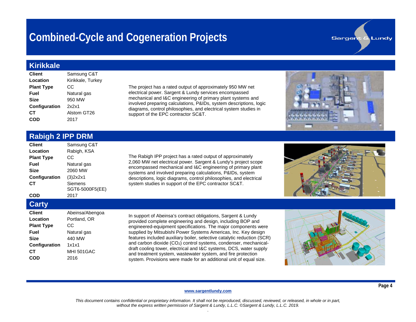#### **Kirikkale**

| <b>Client</b>     | Samsung C&T       |
|-------------------|-------------------|
| Location          | Kirikkale, Turkey |
| <b>Plant Type</b> | CС                |
| Fuel              | Natural gas       |
| <b>Size</b>       | 950 MW            |
| Configuration     | 2x2x1             |
| CТ                | Alstom GT26       |
| COD               | 2017              |

The project has a rated output of approximately 950 MW net electrical power. Sargent & Lundy services encompassed mechanical and I&C engineering of primary plant systems and involved preparing calculations, P&IDs, system descriptions, logic diagrams, control philosophies, and electrical system studies in support of the EPC contractor SC&T.

#### **Rabigh 2 IPP DRM**

| <b>Client</b>        | Samsung C&T     |
|----------------------|-----------------|
| Location             | Rabigh, KSA     |
| <b>Plant Type</b>    | СC              |
| Fuel                 | Natural gas     |
| Size                 | 2060 MW         |
| <b>Configuration</b> | (3)2x2x1        |
| CТ                   | Siemens         |
|                      | SGT6-5000F5(EE) |
| con                  | 2017            |

The Rabigh IPP project has a rated output of approximately 2,060 MW net electrical power. Sargent & Lundy's project scope encompassed mechanical and I&C engineering of primary plant systems and involved preparing calculations, P&IDs, system descriptions, logic diagrams, control philosophies, and electrical system studies in support of the EPC contractor SC&T.

**Sargent & Lundy** 

#### **Carty**

| <b>Client</b>     | Abeinsa/Abengoa   |
|-------------------|-------------------|
| Location          | Portland, OR      |
| <b>Plant Type</b> | CС                |
| Fuel              | Natural gas       |
| Size              | 440 MW            |
| Configuration     | 1x1x1             |
| CТ                | <b>MHI 501GAC</b> |
| COD               | 2016              |
|                   |                   |

In support of Abeinsa's contract obligations, Sargent & Lundy provided complete engineering and design, including BOP and engineered-equipment specifications. The major components were supplied by Mitsubishi Power Systems Americas, Inc. Key design features included auxiliary boiler, selective catalytic reduction (SCR) and carbon dioxide  $(CO<sub>2</sub>)$  control systems, condenser, mechanicaldraft cooling tower, electrical and I&C systems, DCS, water supply and treatment system, wastewater system, and fire protection system. Provisions were made for an additional unit of equal size.



#### **[www.sargentlundy.com](http://www.sargentlundy.com/)**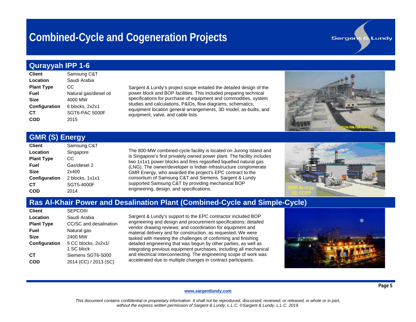#### **Qurayyah IPP 1-6**

| <b>Client</b>     | Samsung C&T            |
|-------------------|------------------------|
| Location          | Saudi Arabia           |
| <b>Plant Type</b> | CС                     |
| Fuel              | Natural gas/diesel oil |
| <b>Size</b>       | 4000 MW                |
| Configuration     | 6 blocks, 2x2x1        |
| CТ                | SGT6-PAC 5000F         |
| COD               | 2015                   |

Sargent & Lundy's project scope entailed the detailed design of the power block and BOP facilities. This included preparing technical specifications for purchase of equipment and commodities, system studies and calculations, P&IDs, flow diagrams, schematics, equipment location general arrangements, 3D model, as-builts, and equipment, valve, and cable lists.

### **GMR (S) Energy**

| <b>Client</b>     | Samsung C&T     |
|-------------------|-----------------|
| Location          | Singapore       |
| <b>Plant Type</b> | СC              |
| Fuel              | Gas/diesel 2    |
| <b>Size</b>       | 2x400           |
| Configuration     | 2 blocks, 1x1x1 |
| CТ                | SGT5-4000F      |
| COD               | 2014            |

The 800-MW combined-cycle facility is located on Jurong Island and is Singapore's first privately owned power plant. The facility includes two 1x1x1 power blocks and fires regasified liquefied natural gas (LNG). The owner/developer is Indian infrastructure conglomerate GMR Energy, who awarded the project's EPC contract to the consortium of Samsung C&T and Siemens. Sargent & Lundy supported Samsung C&T by providing mechanical BOP engineering, design, and specifications.

#### **Ras Al-Khair Power and Desalination Plant (Combined-Cycle and Simple-Cycle)**

| <b>Client</b>        | <b>SEPCOIII</b>        |
|----------------------|------------------------|
| Location             | Saudi Arabia           |
| <b>Plant Type</b>    | CC/SC and desalination |
| Fuel                 | Natural gas            |
| Size                 | 2400 MW                |
| <b>Configuration</b> | 5 CC blocks, 2x2x1/    |
|                      | 1 SC block             |
| CТ                   | Siemens SGT6-5000      |
| COD                  | 2014 (CC) / 2013 (SC)  |

Sargent & Lundy's support to the EPC contractor included BOP engineering and design and procurement specifications; detailed vendor drawing reviews; and coordination for equipment and material delivery and for construction, as requested. We were tasked with meeting the challenges of confirming and finishing detailed engineering that was begun by other parties, as well as integrating previous equipment purchases, including all mechanical and electrical interconnecting. The engineering scope of work was accelerated due to multiple changes in contract participants.



#### **[www.sargentlundy.com](http://www.sargentlundy.com/)**

*This document contains confidential or proprietary information. It shall not be reproduced, discussed, reviewed, or released, in whole or in part, without the express written permission of Sargent & Lundy, L.L.C. ©Sargent & Lundy, L.L.C. 2019. .*

# **Sargent & Lundy**

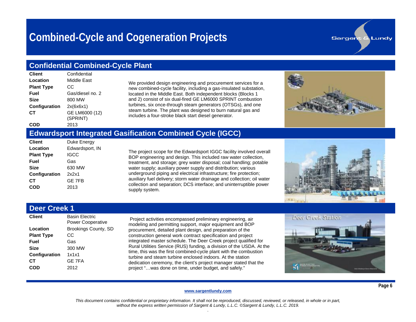#### **Confidential Combined-Cycle Plant**

| <b>Client</b>        | Confidential     |
|----------------------|------------------|
| Location             | Middle Fast      |
| <b>Plant Type</b>    | CС               |
| Fuel                 | Gas/diesel no. 2 |
| <b>Size</b>          | 800 MW           |
| <b>Configuration</b> | 2x(6x6x1)        |
| CТ                   | GE LM6000 (12)   |
|                      | (SPRINT)         |
| COD                  | 2013             |

We provided design engineering and procurement services for a new combined-cycle facility, including a gas-insulated substation, located in the Middle East. Both independent blocks (Blocks 1 and 2) consist of six dual-fired GE LM6000 SPRINT combustion turbines, six once-through steam generators (OTSGs), and one steam turbine. The plant was designed to burn natural gas and includes a four-stroke black start diesel generator.

**Sargent & Lundy** 

#### **Edwardsport Integrated Gasification Combined Cycle (IGCC)**

| <b>Client</b>     | Duke Energy     |
|-------------------|-----------------|
| Location          | Edwardsport, IN |
| <b>Plant Type</b> | IGCC            |
| Fuel              | Gas             |
| <b>Size</b>       | 630 MW          |
| Configuration     | 2x2x1           |
| CТ                | <b>GE 7FB</b>   |
| COD               | 2013            |

The project scope for the Edwardsport IGGC facility involved overall BOP engineering and design. This included raw water collection, treatment, and storage; grey water disposal; coal handling; potable water supply; auxiliary power supply and distribution; various underground piping and electrical infrastructure; fire protection; auxiliary fuel delivery; storm water drainage and collection; oil water collection and separation; DCS interface; and uninterruptible power supply system.



### **Deer Creek 1**

| <b>Client</b>        | <b>Basin Flectric</b><br><b>Power Cooperative</b> |
|----------------------|---------------------------------------------------|
| Location             | <b>Brookings County, SD</b>                       |
| <b>Plant Type</b>    | СC                                                |
| Fuel                 | Gas                                               |
| Size                 | 300 MW                                            |
| <b>Configuration</b> | 1x1x1                                             |
| CТ                   | <b>GF 7FA</b>                                     |
| COD                  | 2012                                              |
|                      |                                                   |

Project activities encompassed preliminary engineering, air modeling and permitting support, major equipment and BOP procurement, detailed plant design, and preparation of the construction general work contract specification and project integrated master schedule. The Deer Creek project qualified for Rural Utilities Service (RUS) funding, a division of the USDA. At the time, this was the first combined-cycle plant with the combustion turbine and steam turbine enclosed indoors. At the station dedication ceremony, the client's project manager stated that the project "…was done on time, under budget, and safely."



#### **[www.sargentlundy.com](http://www.sargentlundy.com/)**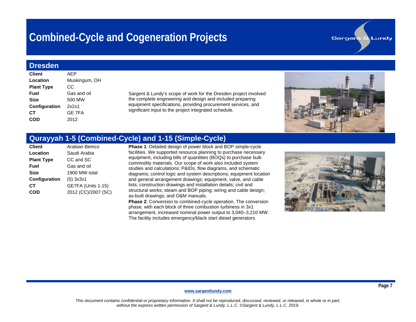#### **Dresden**

| <b>Client</b>        | AFP           |
|----------------------|---------------|
| Location             | Muskingum, OH |
| <b>Plant Type</b>    | СC            |
| Fuel                 | Gas and oil   |
| Size                 | 500 MW        |
| <b>Configuration</b> | 2x2x1         |
| CТ                   | <b>GE 7FA</b> |
| COD                  | 2012          |
|                      |               |

Sargent & Lundy's scope of work for the Dresden project involved the complete engineering and design and included preparing equipment specifications, providing procurement services, and significant input to the project integrated schedule.



**Sargent & Lundy** 

### **Qurayyah 1-5 (Combined-Cycle) and 1-15 (Simple-Cycle)**

**Phase 1:** Detailed design of power block and BOP simple-cycle facilities. We supported resource planning to purchase necessary equipment, including bills of quantities (BOQs) to purchase bulk commodity materials. Our scope of work also included system studies and calculations; P&IDs, flow diagrams, and schematic diagrams; control logic and system descriptions; equipment location and general arrangement drawings; equipment, valve, and cable lists; construction drawings and installation details; civil and structural works; steam and BOP piping; wiring and cable design; as-built drawings; and O&M manuals.

**Phase 2**: Conversion to combined-cycle operation. The conversion phase, with each block of three combustion turbiness in 3x1 arrangement, increased nominal power output to 3,040–3,210 MW. The facility includes emergency/black start diesel generators.



#### **[www.sargentlundy.com](http://www.sargentlundy.com/)**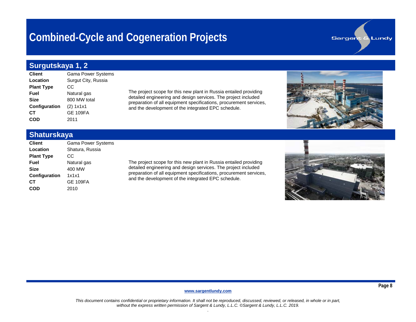### **Surgutskaya 1, 2**

| <b>Client</b>        | <b>Gama Power Systems</b> |
|----------------------|---------------------------|
| Location             | Surgut City, Russia       |
| <b>Plant Type</b>    | СC                        |
| Fuel                 | Natural gas               |
| <b>Size</b>          | 800 MW total              |
| <b>Configuration</b> | (2) 1x1x1                 |
| CТ                   | <b>GE 109FA</b>           |
| COD                  | 2011                      |

The project scope for this new plant in Russia entailed providing detailed engineering and design services. The project included preparation of all equipment specifications, procurement services, and the development of the integrated EPC schedule.

### **Shaturskaya**

| <b>Client</b>        | <b>Gama Power Systems</b> |
|----------------------|---------------------------|
| Location             | Shatura, Russia           |
| <b>Plant Type</b>    | СC                        |
| Fuel                 | Natural gas               |
| <b>Size</b>          | 400 MW                    |
| <b>Configuration</b> | 1x1x1                     |
| CТ                   | <b>GE 109FA</b>           |
| COD                  | 2010                      |

The project scope for this new plant in Russia entailed providing detailed engineering and design services. The project included preparation of all equipment specifications, procurement services, and the development of the integrated EPC schedule.



**Sargent & Lundy** 

#### **[www.sargentlundy.com](http://www.sargentlundy.com/)**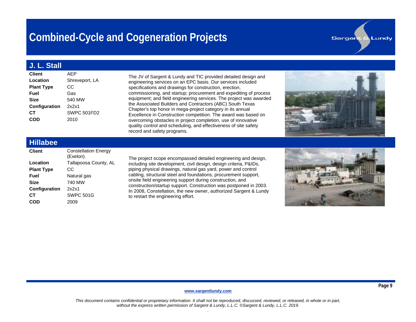### **J. L. Stall**

| <b>Client</b>        | AFP            |
|----------------------|----------------|
| Location             | Shreveport, LA |
| <b>Plant Type</b>    | СC             |
| Fuel                 | Gas            |
| <b>Size</b>          | 540 MW         |
| <b>Configuration</b> | 2x2x1          |
| CТ                   | SWPC 501FD2    |
| COD                  | 2010           |
|                      |                |

The JV of Sargent & Lundy and TIC provided detailed design and engineering services on an EPC basis. Our services included specifications and drawings for construction, erection, commissioning, and startup; procurement and expediting of process equipment; and field engineering services. The project was awarded the Associated Builders and Contractors (ABC) South Texas Chapter's top honor in mega-project category in its annual Excellence in Construction competition. The award was based on overcoming obstacles in project completion, use of innovative quality control and scheduling, and effectiveness of site safety record and safety programs.



**Sargent & Lundy** 

#### **Hillabee**

| <b>Client</b>     | <b>Constellation Energy</b><br>(Exelon) |
|-------------------|-----------------------------------------|
| Location          | Tallapoosa County, AL                   |
| <b>Plant Type</b> | СC                                      |
| Fuel              | Natural gas                             |
| Size              | 740 MW                                  |
| Configuration     | 2x2x1                                   |
| CТ                | <b>SWPC 501G</b>                        |
| COD               | 2009                                    |
|                   |                                         |

The project scope encompassed detailed engineering and design, including site development, civil design, design criteria, P&IDs, piping physical drawings, natural gas yard, power and control cabling, structural steel and foundations, procurement support, onsite field engineering support during construction, and construction/startup support. Construction was postponed in 2003. In 2008, Constellation, the new owner, authorized Sargent & Lundy to restart the engineering effort.



#### **[www.sargentlundy.com](http://www.sargentlundy.com/)**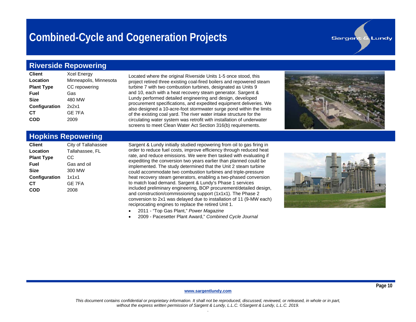#### **Sargent & Lundy**

#### **Riverside Repowering**

| <b>Client</b>        | <b>Xcel Energy</b>     |
|----------------------|------------------------|
| Location             | Minneapolis, Minnesota |
| <b>Plant Type</b>    | CC repowering          |
| Fuel                 | Gas                    |
| <b>Size</b>          | 480 MW                 |
| <b>Configuration</b> | 2x2x1                  |
| CТ                   | <b>GE 7FA</b>          |
| <b>COD</b>           | 2009                   |
|                      |                        |

Located where the original Riverside Units 1-5 once stood, this project retired three existing coal-fired boilers and repowered steam turbine 7 with two combustion turbines, designated as Units 9 and 10, each with a heat recovery steam generator. Sargent & Lundy performed detailed engineering and design, developed procurement specifications, and expedited equipment deliveries. We also designed a 10-acre-foot stormwater surge pond within the limits of the existing coal yard. The river water intake structure for the circulating water system was retrofit with installation of underwater screens to meet Clean Water Act Section 316(b) requirements.



### **Hopkins Repowering**

| <b>Client</b>        | City of Tallahassee |
|----------------------|---------------------|
| Location             | Tallahassee, FL     |
| <b>Plant Type</b>    | CС                  |
| Fuel                 | Gas and oil         |
| <b>Size</b>          | 300 MW              |
| <b>Configuration</b> | 1x1x1               |
| CТ                   | <b>GE 7FA</b>       |
| COD                  | 2008                |
|                      |                     |

Sargent & Lundy initially studied repowering from oil to gas firing in order to reduce fuel costs, improve efficiency through reduced heat rate, and reduce emissions. We were then tasked with evaluating if expediting the conversion two years earlier than planned could be implemented. The study determined that the Unit 2 steam turbine could accommodate two combustion turbines and triple-pressure heat recovery steam generators, enabling a two-phased conversion to match load demand. Sargent & Lundy's Phase 1 services included preliminary engineering, BOP procurement/detailed design, and construction/commissioning support (1x1x1). The Phase 2 conversion to 2x1 was delayed due to installation of 11 (9-MW each) reciprocating engines to replace the retired Unit 1.

- 2011 "Top Gas Plant," *Power Magazine*
- 2009 Pacesetter Plant Award," *Combined Cycle Journal*



#### **[www.sargentlundy.com](http://www.sargentlundy.com/)**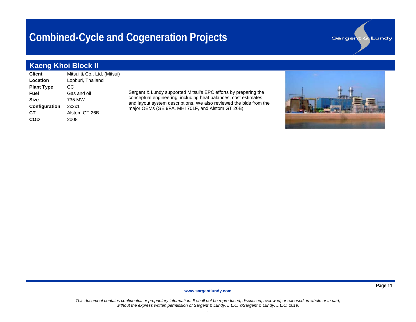### **Kaeng Khoi Block II**

**Client** Mitsui & Co., Ltd. (Mitsui) **Location** Lopburi, Thailand **Plant Type CC Fuel** Gas and oil **Size** 735 MW **Configuration** 2x2x1 **CT** Alstom GT 26B **COD** 2008

Sargent & Lundy supported Mitsui's EPC efforts by preparing the conceptual engineering, including heat balances, cost estimates, and layout system descriptions. We also reviewed the bids from the major OEMs (GE 9FA, MHI 701F, and Alstom GT 26B).



**Sargent & Lundy** 

**[www.sargentlundy.com](http://www.sargentlundy.com/)**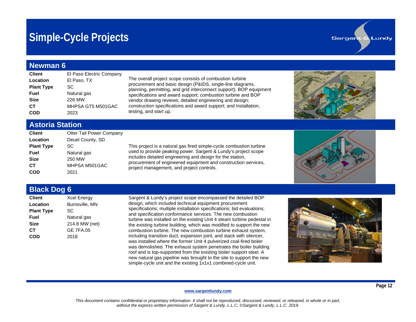## **Simple-Cycle Projects**

#### **Newman 6**

| <b>Client</b>     | El Paso Electric Company |
|-------------------|--------------------------|
| Location          | El Paso, TX              |
| <b>Plant Type</b> | SC                       |
| Fuel              | Natural gas              |
| <b>Size</b>       | 226 MW                   |
| CТ                | MHPSA GT5 M501GAC        |
| con               | 2023                     |

The overall project scope consists of combustion turbine procurement and basic design (P&IDS, single-line diagrams, planning, permitting, and grid interconnect support); BOP equipment specifications and award support; combustion turbine and BOP vendor drawing reviews; detailed engineering and design; construction specifications and award support; and Installation, testing, and start up.



**Sargent & Lundy** 

#### **Astoria Station**

| <b>Client</b>     | Otter Tail Power Company |
|-------------------|--------------------------|
| Location          | Deuel County, SD         |
| <b>Plant Type</b> | SC                       |
| Fuel              | Natural gas              |
| <b>Size</b>       | 250 MW                   |
| CТ                | MHPSA M501GAC            |
| COD               | 2021                     |

This project is a natural gas fired simple-cycle combustion turbine used to provide peaking power. Sargent & Lundy's project scope includes detailed engineering and design for the station, procurement of engineered equipment and construction services, project management, and project controls.



### **Black Dog 6**

| <b>Client</b>     | <b>Xcel Energy</b>    |
|-------------------|-----------------------|
| Location          | <b>Burnsville, MN</b> |
| <b>Plant Type</b> | SC                    |
| Fuel              | Natural gas           |
| <b>Size</b>       | 214.8 MW (net)        |
| CТ                | <b>GE 7FA.05</b>      |
| COD               | 2018                  |

Sargent & Lundy's project scope encompassed the detailed BOP design, which included technical equipment procurement specifications; multiple installation specifications; bid evaluations; and specification conformance services. The new combustion turbine was installed on the existing Unit 4 steam turbine pedestal in the existing turbine building, which was modified to support the new combustion turbine. The new combustion turbine exhaust system, including transition duct, expansion joint, and stack with silencer, was installed where the former Unit 4 pulverized coal-fired boiler was demolished. The exhaust system penetrates the boiler building roof and is top-supported from the existing boiler support steel. A new natural gas pipeline was brought to the site to support the new simple-cycle unit and the existing 1x1x1 combined-cycle unit.



#### **[www.sargentlundy.com](http://www.sargentlundy.com/)**